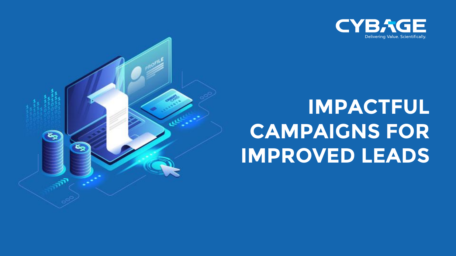



# **IMPACTFUL CAMPAIGNS FOR IMPROVED LEADS**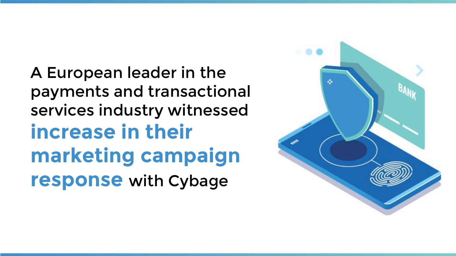A European leader in the payments and transactional services industry witnessed **increase in their marketing campaign response** with Cybage

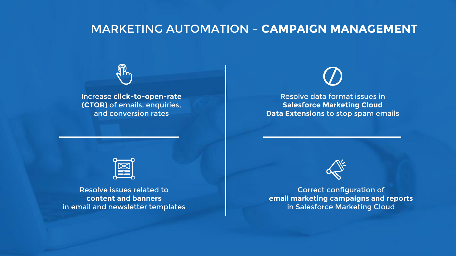## MARKETING AUTOMATION – **CAMPAIGN MANAGEMENT**



Increase **click-to-open-rate (CTOR)** of emails, enquiries, and conversion rates



Resolve data format issues in **Salesforce Marketing Cloud Data Extensions** to stop spam emails



Resolve issues related to **content and banners** in email and newsletter templates



Correct configuration of **email marketing campaigns and reports** in Salesforce Marketing Cloud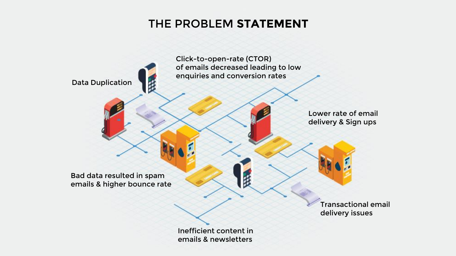## THE PROBLEM **STATEMENT**

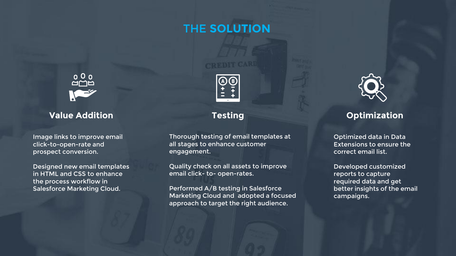## THE **SOLUTION**



### **Value Addition**

Image links to improve email click-to-open-rate and prospect conversion.

Designed new email templates in HTML and CSS to enhance the process workflow in Salesforce Marketing Cloud.



## **Testing**

Thorough testing of email templates at all stages to enhance customer engagement.

Quality check on all assets to improve email click- to- open-rates.

Performed A/B testing in Salesforce Marketing Cloud and adopted a focused approach to target the right audience.



## **Optimization**

Optimized data in Data Extensions to ensure the correct email list.

Developed customized reports to capture required data and get better insights of the email campaigns.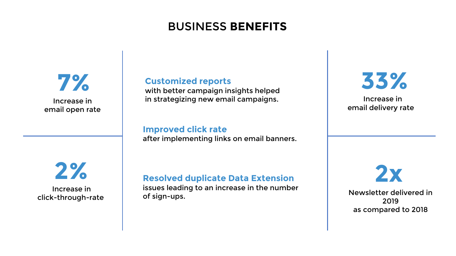# BUSINESS **BENEFITS**



#### **Customized reports**

with better campaign insights helped in strategizing new email campaigns.

#### **Improved click rate**

after implementing links on email banners.



Increase in click-through-rate

## **Resolved duplicate Data Extension**

issues leading to an increase in the number of sign-ups.



Increase in email delivery rate

**2x**

Newsletter delivered in 2019 as compared to 2018